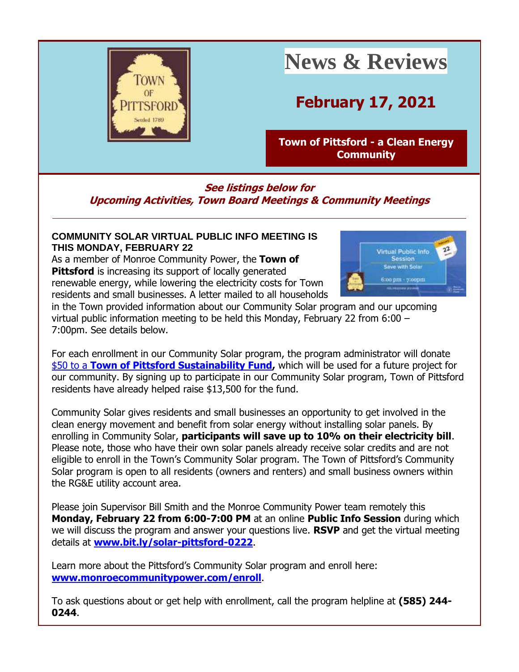

# **News & Reviews**

## **February 17, 2021**

**[Town of Pittsford -](http://r20.rs6.net/tn.jsp?f=001lVGIF9byArd4vcxwz54095OxrUxlpyEHRv-y2qRtEMmnMJLL5TyVkD0Rw9QbQumxQr33y_f0yEiUf6h-viJMWFpBA56-Grk-vYFS2bQd-XmiH20Mcxw_SYxuaO4GAcbW-xjmdvP6XbniWh6y2u6un5PxE1c1Pj_x&c=UcjgcD2SceoDB3iURkrnBmYiJoCaQL1zlPM2jVDqidM_5k2TbjojtA==&ch=VL9CAXtACSQDXoZJ_xPpHe-UEgq0YeqyrdQ6-atBAE0L18oQJSgvgg==) a Clean Energy [Community](http://r20.rs6.net/tn.jsp?f=001lVGIF9byArd4vcxwz54095OxrUxlpyEHRv-y2qRtEMmnMJLL5TyVkD0Rw9QbQumxQr33y_f0yEiUf6h-viJMWFpBA56-Grk-vYFS2bQd-XmiH20Mcxw_SYxuaO4GAcbW-xjmdvP6XbniWh6y2u6un5PxE1c1Pj_x&c=UcjgcD2SceoDB3iURkrnBmYiJoCaQL1zlPM2jVDqidM_5k2TbjojtA==&ch=VL9CAXtACSQDXoZJ_xPpHe-UEgq0YeqyrdQ6-atBAE0L18oQJSgvgg==)**

### **See listings below for Upcoming Activities, Town Board Meetings & Community Meetings**

#### **COMMUNITY SOLAR VIRTUAL PUBLIC INFO MEETING IS THIS MONDAY, FEBRUARY 22**

As a member of Monroe Community Power, the **Town of Pittsford** is increasing its support of locally generated renewable energy, while lowering the electricity costs for Town residents and small businesses. A letter mailed to all households



in the Town provided information about our Community Solar program and our upcoming virtual public information meeting to be held this Monday, February 22 from 6:00 – 7:00pm. See details below.

For each enrollment in our Community Solar program, the program administrator will donat[e](http://r20.rs6.net/tn.jsp?f=001lVGIF9byArd4vcxwz54095OxrUxlpyEHRv-y2qRtEMmnMJLL5TyVkM6wQ0akJ8vbwNmBGggjomBvFT6-DrEY84cSKt8ve3z18s4FGxoyk5a6yRKrbiTEAlThg0L0xcLAsGH9-Jp4vZpRXnkrnlUiXJTB32RkbA8mG_z5fqFS5kw=&c=UcjgcD2SceoDB3iURkrnBmYiJoCaQL1zlPM2jVDqidM_5k2TbjojtA==&ch=VL9CAXtACSQDXoZJ_xPpHe-UEgq0YeqyrdQ6-atBAE0L18oQJSgvgg==) [\\$50 to a](http://r20.rs6.net/tn.jsp?f=001lVGIF9byArd4vcxwz54095OxrUxlpyEHRv-y2qRtEMmnMJLL5TyVkM6wQ0akJ8vbwNmBGggjomBvFT6-DrEY84cSKt8ve3z18s4FGxoyk5a6yRKrbiTEAlThg0L0xcLAsGH9-Jp4vZpRXnkrnlUiXJTB32RkbA8mG_z5fqFS5kw=&c=UcjgcD2SceoDB3iURkrnBmYiJoCaQL1zlPM2jVDqidM_5k2TbjojtA==&ch=VL9CAXtACSQDXoZJ_xPpHe-UEgq0YeqyrdQ6-atBAE0L18oQJSgvgg==) **[Town of Pittsford Sustainability Fund,](http://r20.rs6.net/tn.jsp?f=001lVGIF9byArd4vcxwz54095OxrUxlpyEHRv-y2qRtEMmnMJLL5TyVkM6wQ0akJ8vbwNmBGggjomBvFT6-DrEY84cSKt8ve3z18s4FGxoyk5a6yRKrbiTEAlThg0L0xcLAsGH9-Jp4vZpRXnkrnlUiXJTB32RkbA8mG_z5fqFS5kw=&c=UcjgcD2SceoDB3iURkrnBmYiJoCaQL1zlPM2jVDqidM_5k2TbjojtA==&ch=VL9CAXtACSQDXoZJ_xPpHe-UEgq0YeqyrdQ6-atBAE0L18oQJSgvgg==)** which will be used for a future project for our community. By signing up to participate in our Community Solar program, Town of Pittsford residents have already helped raise \$13,500 for the fund.

Community Solar gives residents and small businesses an opportunity to get involved in the clean energy movement and benefit from solar energy without installing solar panels. By enrolling in Community Solar, **participants will save up to 10% on their electricity bill**. Please note, those who have their own solar panels already receive solar credits and are not eligible to enroll in the Town's Community Solar program. The Town of Pittsford's Community Solar program is open to all residents (owners and renters) and small business owners within the RG&E utility account area.

Please join Supervisor Bill Smith and the Monroe Community Power team remotely this **Monday, February 22 from 6:00-7:00 PM** at an online **Public Info Session** during which we will discuss the program and answer your questions live. **RSVP** and get the virtual meeting details at **[www.bit.ly/solar-pittsford-0222](http://r20.rs6.net/tn.jsp?f=001lVGIF9byArd4vcxwz54095OxrUxlpyEHRv-y2qRtEMmnMJLL5TyVkM6wQ0akJ8vbnyt30kIntiG4DmXVGFilN0kKJa2i1_1BheC14xV7eU98wjatCZVRmDA-iPJh7VJOjBczwMPJoe9KPTtTH7ezFEeDJtsWaSMN&c=UcjgcD2SceoDB3iURkrnBmYiJoCaQL1zlPM2jVDqidM_5k2TbjojtA==&ch=VL9CAXtACSQDXoZJ_xPpHe-UEgq0YeqyrdQ6-atBAE0L18oQJSgvgg==)**.

Learn more about the Pittsford's Community Solar program and enroll here: **[www.monroecommunitypower.com/enroll](http://r20.rs6.net/tn.jsp?f=001lVGIF9byArd4vcxwz54095OxrUxlpyEHRv-y2qRtEMmnMJLL5TyVkM6wQ0akJ8vbPHeCAUiAlWqsfNRZxLHusx5rkP7UzCWBx5tM9mfeGdulwIN2d37Rcg1PsnLTIWnd1EA8YWFxV38mT5ApBA8zi2QesHNTjB4mYS8FEmOOJ1k=&c=UcjgcD2SceoDB3iURkrnBmYiJoCaQL1zlPM2jVDqidM_5k2TbjojtA==&ch=VL9CAXtACSQDXoZJ_xPpHe-UEgq0YeqyrdQ6-atBAE0L18oQJSgvgg==)**.

To ask questions about or get help with enrollment, call the program helpline at **(585) 244- 0244**.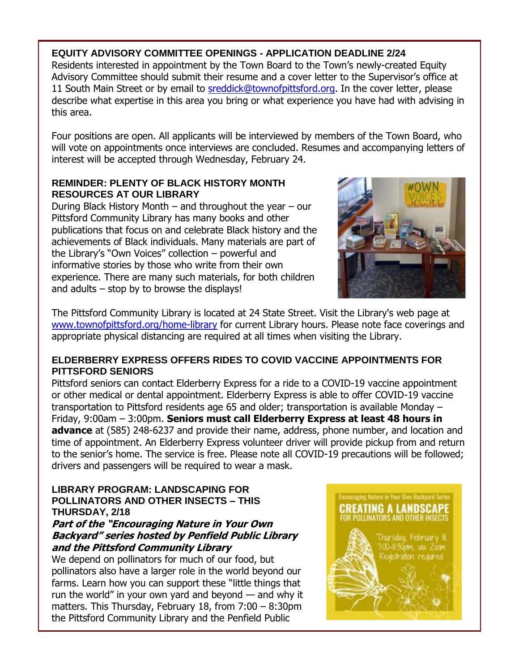#### **EQUITY ADVISORY COMMITTEE OPENINGS - APPLICATION DEADLINE 2/24**

Residents interested in appointment by the Town Board to the Town's newly-created Equity Advisory Committee should submit their resume and a cover letter to the Supervisor's office at 11 South Main Street or by email to [sreddick@townofpittsford.org.](mailto:sreddick@townofpittsford.org?subject=Equity%20Advisory%20Committee%20application) In the cover letter, please describe what expertise in this area you bring or what experience you have had with advising in this area.

Four positions are open. All applicants will be interviewed by members of the Town Board, who will vote on appointments once interviews are concluded. Resumes and accompanying letters of interest will be accepted through Wednesday, February 24.

#### **REMINDER: PLENTY OF BLACK HISTORY MONTH RESOURCES AT OUR LIBRARY**

During Black History Month – and throughout the year – our Pittsford Community Library has many books and other publications that focus on and celebrate Black history and the achievements of Black individuals. Many materials are part of the Library's "Own Voices" collection – powerful and informative stories by those who write from their own experience. There are many such materials, for both children and adults – stop by to browse the displays!



The Pittsford Community Library is located at 24 State Street. Visit the Library's web page at [www.townofpittsford.org/home-library](http://r20.rs6.net/tn.jsp?f=001lVGIF9byArd4vcxwz54095OxrUxlpyEHRv-y2qRtEMmnMJLL5TyVkGReJg4eIqdG1LnnIbv6yWwUkElU0ifx6AjRyu5QaEhYD4gNWfhDhlEM8FJ103hE9XYtHybsieKQpKmN6yuFPI3u_21QMVMP-pyFQAYkzFHbP8-W72vBo7I=&c=UcjgcD2SceoDB3iURkrnBmYiJoCaQL1zlPM2jVDqidM_5k2TbjojtA==&ch=VL9CAXtACSQDXoZJ_xPpHe-UEgq0YeqyrdQ6-atBAE0L18oQJSgvgg==) for current Library hours. Please note face coverings and appropriate physical distancing are required at all times when visiting the Library.

#### **ELDERBERRY EXPRESS OFFERS RIDES TO COVID VACCINE APPOINTMENTS FOR PITTSFORD SENIORS**

Pittsford seniors can contact Elderberry Express for a ride to a COVID-19 vaccine appointment or other medical or dental appointment. Elderberry Express is able to offer COVID-19 vaccine transportation to Pittsford residents age 65 and older; transportation is available Monday – Friday, 9:00am – 3:00pm. **Seniors must call Elderberry Express at least 48 hours in advance** at (585) 248-6237 and provide their name, address, phone number, and location and time of appointment. An Elderberry Express volunteer driver will provide pickup from and return to the senior's home. The service is free. Please note all COVID-19 precautions will be followed; drivers and passengers will be required to wear a mask.

#### **LIBRARY PROGRAM: LANDSCAPING FOR POLLINATORS AND OTHER INSECTS – THIS THURSDAY, 2/18**

#### **Part of the "Encouraging Nature in Your Own Backyard" series hosted by Penfield Public Library and the Pittsford Community Library**

We depend on pollinators for much of our food, but pollinators also have a larger role in the world beyond our farms. Learn how you can support these "little things that run the world" in your own yard and beyond — and why it matters. This Thursday, February 18, from 7:00 – 8:30pm the Pittsford Community Library and the Penfield Public

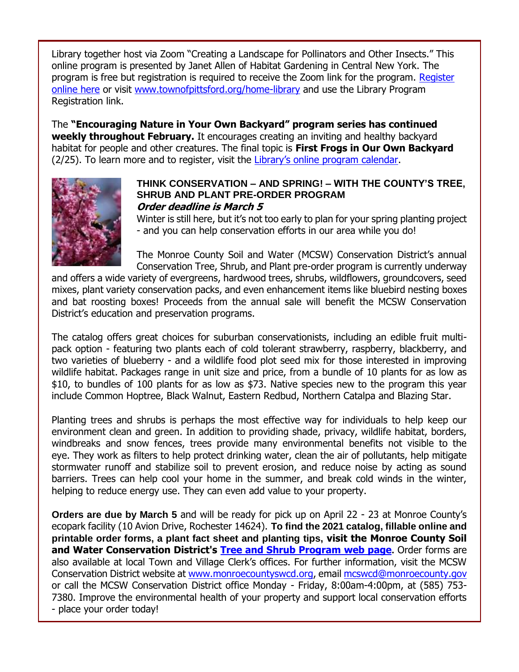Library together host via Zoom "Creating a Landscape for Pollinators and Other Insects." This online program is presented by Janet Allen of Habitat Gardening in Central New York. The program is free but registration is required to receive the Zoom link for the program. [Register](http://r20.rs6.net/tn.jsp?f=001lVGIF9byArd4vcxwz54095OxrUxlpyEHRv-y2qRtEMmnMJLL5TyVkO24qQUl98DLiYEjSWYFfncqDAKCJOfL9_WDeB_nlsO_P7HZ8xx1XWwOujd9kuobYlOPsDvfUIHFyKAdu3izRGrPmwRv_LgKQaUMjsU2GXXUBsAlOOuwd17Plsx4opXZ5A==&c=UcjgcD2SceoDB3iURkrnBmYiJoCaQL1zlPM2jVDqidM_5k2TbjojtA==&ch=VL9CAXtACSQDXoZJ_xPpHe-UEgq0YeqyrdQ6-atBAE0L18oQJSgvgg==)  [online here](http://r20.rs6.net/tn.jsp?f=001lVGIF9byArd4vcxwz54095OxrUxlpyEHRv-y2qRtEMmnMJLL5TyVkO24qQUl98DLiYEjSWYFfncqDAKCJOfL9_WDeB_nlsO_P7HZ8xx1XWwOujd9kuobYlOPsDvfUIHFyKAdu3izRGrPmwRv_LgKQaUMjsU2GXXUBsAlOOuwd17Plsx4opXZ5A==&c=UcjgcD2SceoDB3iURkrnBmYiJoCaQL1zlPM2jVDqidM_5k2TbjojtA==&ch=VL9CAXtACSQDXoZJ_xPpHe-UEgq0YeqyrdQ6-atBAE0L18oQJSgvgg==) or visit [www.townofpittsford.org/home-library](http://r20.rs6.net/tn.jsp?f=001lVGIF9byArd4vcxwz54095OxrUxlpyEHRv-y2qRtEMmnMJLL5TyVkGReJg4eIqdG1LnnIbv6yWwUkElU0ifx6AjRyu5QaEhYD4gNWfhDhlEM8FJ103hE9XYtHybsieKQpKmN6yuFPI3u_21QMVMP-pyFQAYkzFHbP8-W72vBo7I=&c=UcjgcD2SceoDB3iURkrnBmYiJoCaQL1zlPM2jVDqidM_5k2TbjojtA==&ch=VL9CAXtACSQDXoZJ_xPpHe-UEgq0YeqyrdQ6-atBAE0L18oQJSgvgg==) and use the Library Program Registration link.

The **"Encouraging Nature in Your Own Backyard" program series has continued weekly throughout February.** It encourages creating an inviting and healthy backyard habitat for people and other creatures. The final topic is **First Frogs in Our Own Backyard** (2/25). To learn more and to register, visit the [Library's online program calendar](http://r20.rs6.net/tn.jsp?f=001lVGIF9byArd4vcxwz54095OxrUxlpyEHRv-y2qRtEMmnMJLL5TyVkBAQ03_gwbw9KIXdyApUjnqOdIWv8W1_rBm4czklq-pP70_bjkuqrgDkO_sg6GAlupXHP7mKgQzWDTFkB8lKzl7rRk3qtmtRDaqWPn9mltTszqxbygDRjiFy2MzzonGJjrYeEEoZCTKu_01n_s1hX9bYZZLC72uUx1BFPOERf0UABUiVTuy339JXBr5AwMtY-VxWqVBDI0s-siSjwWYE4BU=&c=UcjgcD2SceoDB3iURkrnBmYiJoCaQL1zlPM2jVDqidM_5k2TbjojtA==&ch=VL9CAXtACSQDXoZJ_xPpHe-UEgq0YeqyrdQ6-atBAE0L18oQJSgvgg==).



#### **THINK CONSERVATION – AND SPRING! – WITH THE COUNTY'S TREE, SHRUB AND PLANT PRE-ORDER PROGRAM Order deadline is March 5**

Winter is still here, but it's not too early to plan for your spring planting project - and you can help conservation efforts in our area while you do!

The Monroe County Soil and Water (MCSW) Conservation District's annual Conservation Tree, Shrub, and Plant pre-order program is currently underway

and offers a wide variety of evergreens, hardwood trees, shrubs, wildflowers, groundcovers, seed mixes, plant variety conservation packs, and even enhancement items like bluebird nesting boxes and bat roosting boxes! Proceeds from the annual sale will benefit the MCSW Conservation District's education and preservation programs.

The catalog offers great choices for suburban conservationists, including an edible fruit multipack option - featuring two plants each of cold tolerant strawberry, raspberry, blackberry, and two varieties of blueberry - and a wildlife food plot seed mix for those interested in improving wildlife habitat. Packages range in unit size and price, from a bundle of 10 plants for as low as \$10, to bundles of 100 plants for as low as \$73. Native species new to the program this year include Common Hoptree, Black Walnut, Eastern Redbud, Northern Catalpa and Blazing Star.

Planting trees and shrubs is perhaps the most effective way for individuals to help keep our environment clean and green. In addition to providing shade, privacy, wildlife habitat, borders, windbreaks and snow fences, trees provide many environmental benefits not visible to the eye. They work as filters to help protect drinking water, clean the air of pollutants, help mitigate stormwater runoff and stabilize soil to prevent erosion, and reduce noise by acting as sound barriers. Trees can help cool your home in the summer, and break cold winds in the winter, helping to reduce energy use. They can even add value to your property.

**Orders are due by March 5** and will be ready for pick up on April 22 - 23 at Monroe County's ecopark facility (10 Avion Drive, Rochester 14624). **To find the 2021 catalog, fillable online and printable order forms, a plant fact sheet and planting tips, visit the Monroe County Soil and Water Conservation District's [Tree and Shrub Program web page](http://r20.rs6.net/tn.jsp?f=001lVGIF9byArd4vcxwz54095OxrUxlpyEHRv-y2qRtEMmnMJLL5TyVkO24qQUl98DLen71v_e3TM9Lw0TOIQcdBrMnIGRvc1JUbnaR5wG5oDC0oFhSh7ouICy7EcGOgvd-MI7FM6WQnbAeDv2PI7Kf6VXyITEpQp0L5-W5JSAFWuo=&c=UcjgcD2SceoDB3iURkrnBmYiJoCaQL1zlPM2jVDqidM_5k2TbjojtA==&ch=VL9CAXtACSQDXoZJ_xPpHe-UEgq0YeqyrdQ6-atBAE0L18oQJSgvgg==).** Order forms are also available at local Town and Village Clerk's offices. For further information, visit the MCSW Conservation District website at [www.monroecountyswcd.org,](http://r20.rs6.net/tn.jsp?f=001lVGIF9byArd4vcxwz54095OxrUxlpyEHRv-y2qRtEMmnMJLL5TyVkEjAwyLJ03zfoooHbKHnXnqlQ15WBp__H6YwruaZdkMsMQQwcIWqPfoogVgl-8HMYdqOvV45OmxNx1UZvAa0yumay0jg9pyJ2BM-kLvRbU9k&c=UcjgcD2SceoDB3iURkrnBmYiJoCaQL1zlPM2jVDqidM_5k2TbjojtA==&ch=VL9CAXtACSQDXoZJ_xPpHe-UEgq0YeqyrdQ6-atBAE0L18oQJSgvgg==) emai[l mcswcd@monroecounty.gov](mailto:mcswcd@monroecounty.gov) or call the MCSW Conservation District office Monday - Friday, 8:00am-4:00pm, at (585) 753- 7380. Improve the environmental health of your property and support local conservation efforts - place your order today!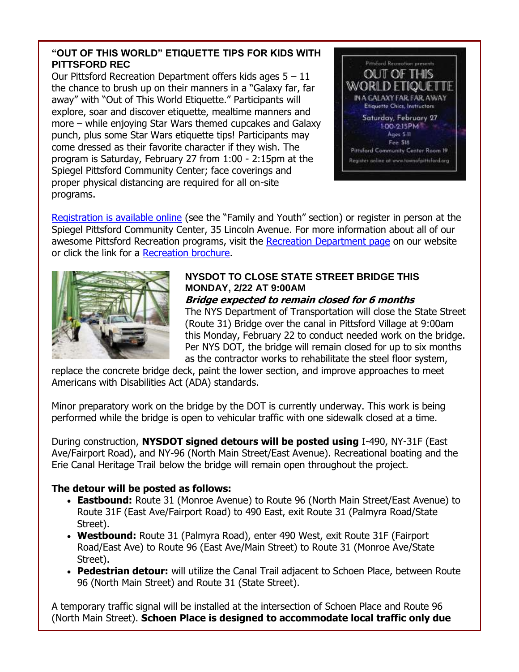#### **"OUT OF THIS WORLD" ETIQUETTE TIPS FOR KIDS WITH PITTSFORD REC**

Our Pittsford Recreation Department offers kids ages  $5 - 11$ the chance to brush up on their manners in a "Galaxy far, far away" with "Out of This World Etiquette." Participants will explore, soar and discover etiquette, mealtime manners and more – while enjoying Star Wars themed cupcakes and Galaxy punch, plus some Star Wars etiquette tips! Participants may come dressed as their favorite character if they wish. The program is Saturday, February 27 from 1:00 - 2:15pm at the Spiegel Pittsford Community Center; face coverings and proper physical distancing are required for all on-site programs.



[Registration is available online](http://r20.rs6.net/tn.jsp?f=001lVGIF9byArd4vcxwz54095OxrUxlpyEHRv-y2qRtEMmnMJLL5TyVkC4RIbwSAeJlDzN-_TXsLzo6v64Cngv8Kt_vSWsvgdOOPMmuLCl0atGr9SD29_fSatqsuKK4xcVO8v9xsKr-Ez2V8OXCEUbvO3ZBrvYBbcSlV3cWyvDVCXnAmPVPf9BG1AIEYN12wm0JWISmPSuTrg9ZiRccZ_OSrA==&c=UcjgcD2SceoDB3iURkrnBmYiJoCaQL1zlPM2jVDqidM_5k2TbjojtA==&ch=VL9CAXtACSQDXoZJ_xPpHe-UEgq0YeqyrdQ6-atBAE0L18oQJSgvgg==) (see the "Family and Youth" section) or register in person at the Spiegel Pittsford Community Center, 35 Lincoln Avenue. For more information about all of our awesome Pittsford Recreation programs, visit the [Recreation Department page](http://r20.rs6.net/tn.jsp?f=001lVGIF9byArd4vcxwz54095OxrUxlpyEHRv-y2qRtEMmnMJLL5TyVkOmaVGuuYFBo38Atde1Zww-E_1gKk1uPyXv7iZpGTg51wW7_IyrqZ5SpByxVDAnuOu4WsnsXjmsm55XAg789myrOnsUSDeUbPVAWToalX1o20l64F6xSDz0=&c=UcjgcD2SceoDB3iURkrnBmYiJoCaQL1zlPM2jVDqidM_5k2TbjojtA==&ch=VL9CAXtACSQDXoZJ_xPpHe-UEgq0YeqyrdQ6-atBAE0L18oQJSgvgg==) on our website or click the link for a [Recreation brochure.](http://r20.rs6.net/tn.jsp?f=001lVGIF9byArd4vcxwz54095OxrUxlpyEHRv-y2qRtEMmnMJLL5TyVkE5D7uDHAAhnkw-ScyDcxyAr8yzEhORCUELmUAoBwZVKbPQd2snhVFdgWpywj9pgvTrYit-z0xWGceDMZdMbXY5ktuTFEJtz6IeeFFg-Tj-h0j8LSXKUfRtUaLxlTdh3ACXk8VLQseD7M91k1PPX5ok=&c=UcjgcD2SceoDB3iURkrnBmYiJoCaQL1zlPM2jVDqidM_5k2TbjojtA==&ch=VL9CAXtACSQDXoZJ_xPpHe-UEgq0YeqyrdQ6-atBAE0L18oQJSgvgg==)



### **NYSDOT TO CLOSE STATE STREET BRIDGE THIS MONDAY, 2/22 AT 9:00AM**

#### **Bridge expected to remain closed for 6 months**

The NYS Department of Transportation will close the State Street (Route 31) Bridge over the canal in Pittsford Village at 9:00am this Monday, February 22 to conduct needed work on the bridge. Per NYS DOT, the bridge will remain closed for up to six months as the contractor works to rehabilitate the steel floor system,

replace the concrete bridge deck, paint the lower section, and improve approaches to meet Americans with Disabilities Act (ADA) standards.

Minor preparatory work on the bridge by the DOT is currently underway. This work is being performed while the bridge is open to vehicular traffic with one sidewalk closed at a time.

During construction, **NYSDOT signed detours will be posted using** I-490, NY-31F (East Ave/Fairport Road), and NY-96 (North Main Street/East Avenue). Recreational boating and the Erie Canal Heritage Trail below the bridge will remain open throughout the project.

#### **The detour will be posted as follows:**

- **Eastbound:** Route 31 (Monroe Avenue) to Route 96 (North Main Street/East Avenue) to Route 31F (East Ave/Fairport Road) to 490 East, exit Route 31 (Palmyra Road/State Street).
- **Westbound:** Route 31 (Palmyra Road), enter 490 West, exit Route 31F (Fairport Road/East Ave) to Route 96 (East Ave/Main Street) to Route 31 (Monroe Ave/State Street).
- **Pedestrian detour:** will utilize the Canal Trail adjacent to Schoen Place, between Route 96 (North Main Street) and Route 31 (State Street).

A temporary traffic signal will be installed at the intersection of Schoen Place and Route 96 (North Main Street). **Schoen Place is designed to accommodate local traffic only due**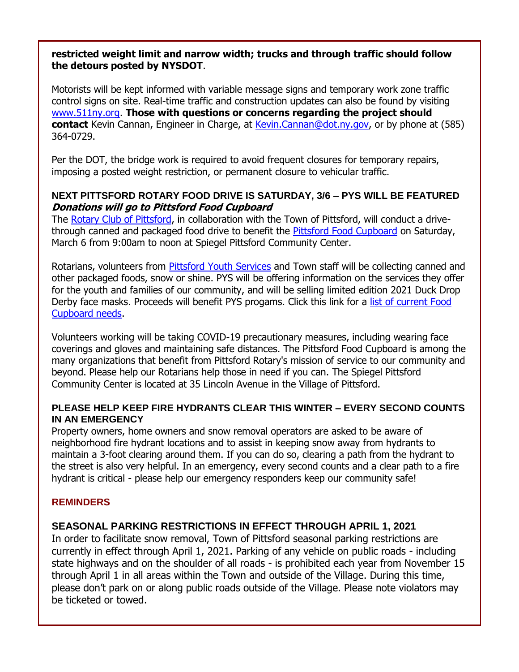#### **restricted weight limit and narrow width; trucks and through traffic should follow the detours posted by NYSDOT**.

Motorists will be kept informed with variable message signs and temporary work zone traffic control signs on site. Real-time traffic and construction updates can also be found by visiting [www.511ny.org.](http://r20.rs6.net/tn.jsp?f=001lVGIF9byArd4vcxwz54095OxrUxlpyEHRv-y2qRtEMmnMJLL5TyVkODKATQZSkw626amM5t07VoDo1TIl-NyNtt9C7wNZuHB425Ang2LoWLit-weH9GdyGMP_GoPoceBSwqT3rs-9NE=&c=UcjgcD2SceoDB3iURkrnBmYiJoCaQL1zlPM2jVDqidM_5k2TbjojtA==&ch=VL9CAXtACSQDXoZJ_xPpHe-UEgq0YeqyrdQ6-atBAE0L18oQJSgvgg==) **Those with questions or concerns regarding the project should contact** Kevin Cannan, Engineer in Charge, at [Kevin.Cannan@dot.ny.gov,](mailto:Kevin.Cannan@dot.ny.gov) or by phone at (585) 364-0729.

Per the DOT, the bridge work is required to avoid frequent closures for temporary repairs, imposing a posted weight restriction, or permanent closure to vehicular traffic.

#### **NEXT PITTSFORD ROTARY FOOD DRIVE IS SATURDAY, 3/6 – PYS WILL BE FEATURED Donations will go to Pittsford Food Cupboard**

The [Rotary Club of Pittsford,](http://r20.rs6.net/tn.jsp?f=001lVGIF9byArd4vcxwz54095OxrUxlpyEHRv-y2qRtEMmnMJLL5TyVkC4RIbwSAeJlLsLJ82tyhciUrimeFgoKFYtsBhHs2be2MOth9GF4BUS-A_XW6m7vk7UnoXUHuCZDZP7VEzHa4VZEno2BCIZaUW0C7cdjQlNu&c=UcjgcD2SceoDB3iURkrnBmYiJoCaQL1zlPM2jVDqidM_5k2TbjojtA==&ch=VL9CAXtACSQDXoZJ_xPpHe-UEgq0YeqyrdQ6-atBAE0L18oQJSgvgg==) in collaboration with the Town of Pittsford, will conduct a drive-through canned and packaged food drive to benefit the [Pittsford Food Cupboard](http://r20.rs6.net/tn.jsp?f=001lVGIF9byArd4vcxwz54095OxrUxlpyEHRv-y2qRtEMmnMJLL5TyVkJHljVuFmdszQmSBWCxOtQqSar_KAZz4m9P8rpCXFLNGmSTScR6C2_P746I3ZVvaAV0T2BB7p1DmbPqKYHnOx1hddTtIDaOBAmYw9PmPWEWe&c=UcjgcD2SceoDB3iURkrnBmYiJoCaQL1zlPM2jVDqidM_5k2TbjojtA==&ch=VL9CAXtACSQDXoZJ_xPpHe-UEgq0YeqyrdQ6-atBAE0L18oQJSgvgg==) on Saturday, March 6 from 9:00am to noon at Spiegel Pittsford Community Center.

Rotarians, volunteers from [Pittsford Youth Services](http://r20.rs6.net/tn.jsp?f=001lVGIF9byArd4vcxwz54095OxrUxlpyEHRv-y2qRtEMmnMJLL5TyVkEs5QiArQ6nm4oh5MnfAw50RVFwR0l9eXDdreYfHoQwPPfSP9JlcUZwtKnZf0kOOLa19P6dRL6ydO73MgUVYlEBQQ2aX3Hqsp8W3klKws0vOr_b4UVZLrCo=&c=UcjgcD2SceoDB3iURkrnBmYiJoCaQL1zlPM2jVDqidM_5k2TbjojtA==&ch=VL9CAXtACSQDXoZJ_xPpHe-UEgq0YeqyrdQ6-atBAE0L18oQJSgvgg==) and Town staff will be collecting canned and other packaged foods, snow or shine. PYS will be offering information on the services they offer for the youth and families of our community, and will be selling limited edition 2021 Duck Drop Derby face masks. Proceeds will benefit PYS progams. Click this link for a [list of current Food](http://r20.rs6.net/tn.jsp?f=001lVGIF9byArd4vcxwz54095OxrUxlpyEHRv-y2qRtEMmnMJLL5TyVkCGlAg5CbZExJNaik50TPvjpddjLfd-mnb4bYN2A0aI5Jz8wyV3joks-e1N2YijsnXJ4FHuPLGGU3caQL1rvPnjwcJhOX3RFIDIHiKvtOqoSk7qhNRctqYIciqXhBlSGlbZuM-O2wXcL&c=UcjgcD2SceoDB3iURkrnBmYiJoCaQL1zlPM2jVDqidM_5k2TbjojtA==&ch=VL9CAXtACSQDXoZJ_xPpHe-UEgq0YeqyrdQ6-atBAE0L18oQJSgvgg==)  [Cupboard needs.](http://r20.rs6.net/tn.jsp?f=001lVGIF9byArd4vcxwz54095OxrUxlpyEHRv-y2qRtEMmnMJLL5TyVkCGlAg5CbZExJNaik50TPvjpddjLfd-mnb4bYN2A0aI5Jz8wyV3joks-e1N2YijsnXJ4FHuPLGGU3caQL1rvPnjwcJhOX3RFIDIHiKvtOqoSk7qhNRctqYIciqXhBlSGlbZuM-O2wXcL&c=UcjgcD2SceoDB3iURkrnBmYiJoCaQL1zlPM2jVDqidM_5k2TbjojtA==&ch=VL9CAXtACSQDXoZJ_xPpHe-UEgq0YeqyrdQ6-atBAE0L18oQJSgvgg==)

Volunteers working will be taking COVID-19 precautionary measures, including wearing face coverings and gloves and maintaining safe distances. The Pittsford Food Cupboard is among the many organizations that benefit from Pittsford Rotary's mission of service to our community and beyond. Please help our Rotarians help those in need if you can. The Spiegel Pittsford Community Center is located at 35 Lincoln Avenue in the Village of Pittsford.

#### **PLEASE HELP KEEP FIRE HYDRANTS CLEAR THIS WINTER – EVERY SECOND COUNTS IN AN EMERGENCY**

Property owners, home owners and snow removal operators are asked to be aware of neighborhood fire hydrant locations and to assist in keeping snow away from hydrants to maintain a 3-foot clearing around them. If you can do so, clearing a path from the hydrant to the street is also very helpful. In an emergency, every second counts and a clear path to a fire hydrant is critical - please help our emergency responders keep our community safe!

#### **REMINDERS**

#### **SEASONAL PARKING RESTRICTIONS IN EFFECT THROUGH APRIL 1, 2021**

In order to facilitate snow removal, Town of Pittsford seasonal parking restrictions are currently in effect through April 1, 2021. Parking of any vehicle on public roads - including state highways and on the shoulder of all roads - is prohibited each year from November 15 through April 1 in all areas within the Town and outside of the Village. During this time, please don't park on or along public roads outside of the Village. Please note violators may be ticketed or towed.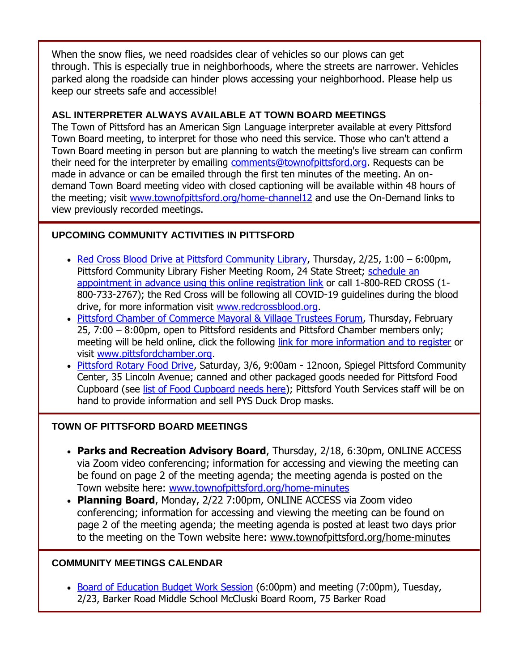When the snow flies, we need roadsides clear of vehicles so our plows can get through. This is especially true in neighborhoods, where the streets are narrower. Vehicles parked along the roadside can hinder plows accessing your neighborhood. Please help us keep our streets safe and accessible!

#### **ASL INTERPRETER ALWAYS AVAILABLE AT TOWN BOARD MEETINGS**

The Town of Pittsford has an American Sign Language interpreter available at every Pittsford Town Board meeting, to interpret for those who need this service. Those who can't attend a Town Board meeting in person but are planning to watch the meeting's live stream can confirm their need for the interpreter by emailing [comments@townofpittsford.org.](mailto:comments@townofpittsford.org?subject=ASL%20interperter%20request%20for%20Town%20Board%20meeting) Requests can be made in advance or can be emailed through the first ten minutes of the meeting. An ondemand Town Board meeting video with closed captioning will be available within 48 hours of the meeting; visit [www.townofpittsford.org/home-channel12](http://r20.rs6.net/tn.jsp?f=001lVGIF9byArd4vcxwz54095OxrUxlpyEHRv-y2qRtEMmnMJLL5TyVkO1-37PQWsN_bMaFdxtBKdT1wEDkHZIMuuglkMxjGsOklb1eUfvDAHZISirIi-ZQHDgzYC5CSKC7Fe8FQ75fVVyYUsfJXsPLOIeUrjF7w2bgSMf6w4kM1hk=&c=UcjgcD2SceoDB3iURkrnBmYiJoCaQL1zlPM2jVDqidM_5k2TbjojtA==&ch=VL9CAXtACSQDXoZJ_xPpHe-UEgq0YeqyrdQ6-atBAE0L18oQJSgvgg==) and use the On-Demand links to view previously recorded meetings.

#### **UPCOMING COMMUNITY ACTIVITIES IN PITTSFORD**

- [Red Cross Blood Drive at Pittsford Community Library,](http://r20.rs6.net/tn.jsp?f=001lVGIF9byArd4vcxwz54095OxrUxlpyEHRv-y2qRtEMmnMJLL5TyVkImRx9nQIBTWB8tRNoSJ7dMxkB0jYgqywg4q_XKkce77OqXBs7tyEw-iWkmbliAyyK6eL9AAuNL8Afovkyy_nVeiRmpcYtpNcwaJeIAhmTnDzz-9MAksylRlcVuz9DZGVfLwlBgteuXnQFvtg7TcWGa6D2x0Lt98SIX69QtYwwgfdApVwUyKwks=&c=UcjgcD2SceoDB3iURkrnBmYiJoCaQL1zlPM2jVDqidM_5k2TbjojtA==&ch=VL9CAXtACSQDXoZJ_xPpHe-UEgq0YeqyrdQ6-atBAE0L18oQJSgvgg==) Thursday, 2/25, 1:00 6:00pm, Pittsford Community Library Fisher Meeting Room, 24 State Street; [schedule](http://r20.rs6.net/tn.jsp?f=001lVGIF9byArd4vcxwz54095OxrUxlpyEHRv-y2qRtEMmnMJLL5TyVkImRx9nQIBTWB8tRNoSJ7dMxkB0jYgqywg4q_XKkce77OqXBs7tyEw-iWkmbliAyyK6eL9AAuNL8Afovkyy_nVeiRmpcYtpNcwaJeIAhmTnDzz-9MAksylRlcVuz9DZGVfLwlBgteuXnQFvtg7TcWGa6D2x0Lt98SIX69QtYwwgfdApVwUyKwks=&c=UcjgcD2SceoDB3iURkrnBmYiJoCaQL1zlPM2jVDqidM_5k2TbjojtA==&ch=VL9CAXtACSQDXoZJ_xPpHe-UEgq0YeqyrdQ6-atBAE0L18oQJSgvgg==) an [appointment in advance using this online registration link](http://r20.rs6.net/tn.jsp?f=001lVGIF9byArd4vcxwz54095OxrUxlpyEHRv-y2qRtEMmnMJLL5TyVkImRx9nQIBTWB8tRNoSJ7dMxkB0jYgqywg4q_XKkce77OqXBs7tyEw-iWkmbliAyyK6eL9AAuNL8Afovkyy_nVeiRmpcYtpNcwaJeIAhmTnDzz-9MAksylRlcVuz9DZGVfLwlBgteuXnQFvtg7TcWGa6D2x0Lt98SIX69QtYwwgfdApVwUyKwks=&c=UcjgcD2SceoDB3iURkrnBmYiJoCaQL1zlPM2jVDqidM_5k2TbjojtA==&ch=VL9CAXtACSQDXoZJ_xPpHe-UEgq0YeqyrdQ6-atBAE0L18oQJSgvgg==) or call 1-800-RED CROSS (1-800-733-2767); the Red Cross will be following all COVID-19 guidelines during the blood drive, for more information visit [www.redcrossblood.org.](http://www.redcrossblood.org/)
- [Pittsford Chamber of Commerce Mayoral & Village Trustees Forum,](mailto:http://events.r20.constantcontact.com/register/event?oeidk=a07ehkv3dywdd5ddac0&llr=4hobslrab) Thursday, February 25, 7:00 – 8:00pm, open to Pittsford residents and Pittsford Chamber members only; meeting will be held online, click the following [link for more information and to register](mailto:http://events.r20.constantcontact.com/register/event?oeidk=a07ehkv3dywdd5ddac0&llr=4hobslrab) or visit [www.pittsfordchamber.org.](http://r20.rs6.net/tn.jsp?f=001lVGIF9byArd4vcxwz54095OxrUxlpyEHRv-y2qRtEMmnMJLL5TyVkMVGA5d4ubQDYsECGCnVZlW_fnBvcG9aWqu3hUS7pSoN8mb1sZPtQxDdr2KhA9_4dc_24e6u4--OXmVFhXOcWokbBicUEgdY1vEILwy4ckH3&c=UcjgcD2SceoDB3iURkrnBmYiJoCaQL1zlPM2jVDqidM_5k2TbjojtA==&ch=VL9CAXtACSQDXoZJ_xPpHe-UEgq0YeqyrdQ6-atBAE0L18oQJSgvgg==)
- [Pittsford Rotary Food Drive,](http://r20.rs6.net/tn.jsp?f=001lVGIF9byArd4vcxwz54095OxrUxlpyEHRv-y2qRtEMmnMJLL5TyVkO24qQUl98DLY7RtI76dCuj3HCtx3GJ0CQ-Le6azkSdl9hlZ4SPbEfgUoOD5dDhRCOzgs0qD7zKgpWfnX-LD2eXAAyVEGpqbvja5BltcJTQC&c=UcjgcD2SceoDB3iURkrnBmYiJoCaQL1zlPM2jVDqidM_5k2TbjojtA==&ch=VL9CAXtACSQDXoZJ_xPpHe-UEgq0YeqyrdQ6-atBAE0L18oQJSgvgg==) Saturday, 3/6, 9:00am 12noon, Spiegel Pittsford Community Center, 35 Lincoln Avenue; canned and other packaged goods needed for Pittsford Food Cupboard (see [list of Food Cupboard needs here\)](http://r20.rs6.net/tn.jsp?f=001lVGIF9byArd4vcxwz54095OxrUxlpyEHRv-y2qRtEMmnMJLL5TyVkCGlAg5CbZExJNaik50TPvjpddjLfd-mnb4bYN2A0aI5Jz8wyV3joks-e1N2YijsnXJ4FHuPLGGU3caQL1rvPnjwcJhOX3RFIDIHiKvtOqoSk7qhNRctqYIciqXhBlSGlbZuM-O2wXcL&c=UcjgcD2SceoDB3iURkrnBmYiJoCaQL1zlPM2jVDqidM_5k2TbjojtA==&ch=VL9CAXtACSQDXoZJ_xPpHe-UEgq0YeqyrdQ6-atBAE0L18oQJSgvgg==); Pittsford Youth Services staff will be on hand to provide information and sell PYS Duck Drop masks.

#### **TOWN OF PITTSFORD BOARD MEETINGS**

- **Parks and Recreation Advisory Board**, Thursday, 2/18, 6:30pm, ONLINE ACCESS via Zoom video conferencing; information for accessing and viewing the meeting can be found on page 2 of the meeting agenda; the meeting agenda is posted on the Town website here: [www.townofpittsford.org/home-minutes](http://r20.rs6.net/tn.jsp?f=001lVGIF9byArd4vcxwz54095OxrUxlpyEHRv-y2qRtEMmnMJLL5TyVkC4RIbwSAeJlPXcXjgkRCf-zrZUqyjFzUcFMVAP4MW4YmbbLIq33sNhIe8zmargcnLJJzc6nh2dqCgVK552B21aOEX_AatZd1fmXUF6J_pKJR-6p_mAxCw4=&c=UcjgcD2SceoDB3iURkrnBmYiJoCaQL1zlPM2jVDqidM_5k2TbjojtA==&ch=VL9CAXtACSQDXoZJ_xPpHe-UEgq0YeqyrdQ6-atBAE0L18oQJSgvgg==)
- **Planning Board**, Monday, 2/22 7:00pm, ONLINE ACCESS via Zoom video conferencing; information for accessing and viewing the meeting can be found on page 2 of the meeting agenda; the meeting agenda is posted at least two days prior to the meeting on the Town website here: [www.townofpittsford.org/home-minutes](http://r20.rs6.net/tn.jsp?f=001lVGIF9byArd4vcxwz54095OxrUxlpyEHRv-y2qRtEMmnMJLL5TyVkC4RIbwSAeJlPXcXjgkRCf-zrZUqyjFzUcFMVAP4MW4YmbbLIq33sNhIe8zmargcnLJJzc6nh2dqCgVK552B21aOEX_AatZd1fmXUF6J_pKJR-6p_mAxCw4=&c=UcjgcD2SceoDB3iURkrnBmYiJoCaQL1zlPM2jVDqidM_5k2TbjojtA==&ch=VL9CAXtACSQDXoZJ_xPpHe-UEgq0YeqyrdQ6-atBAE0L18oQJSgvgg==)

#### **COMMUNITY MEETINGS CALENDAR**

• [Board of Education Budget Work Session](http://r20.rs6.net/tn.jsp?f=001lVGIF9byArd4vcxwz54095OxrUxlpyEHRv-y2qRtEMmnMJLL5TyVkA-L4Coan3sgyQ34J2b48NpY-L7MH_xN_Wb69adOAC2bhTEG-R9rpbTxQExEfZ_KUXSm-xB5yasN1HZjzbn5dt6Sn4IqdwP6HA4WaDc8CKp8YFtZHkCdrCa0OoQaFha8zNKqPrwxyj9Cxdan5CDMxICA7J9cNSQn-hGf9aIPcqjVymhYsmYdjjI5W-5TcwzGM6xxP7bFdlWVHnT2527ucmM=&c=UcjgcD2SceoDB3iURkrnBmYiJoCaQL1zlPM2jVDqidM_5k2TbjojtA==&ch=VL9CAXtACSQDXoZJ_xPpHe-UEgq0YeqyrdQ6-atBAE0L18oQJSgvgg==) (6:00pm) and meeting (7:00pm), Tuesday, 2/23, Barker Road Middle School McCluski Board Room, 75 Barker Road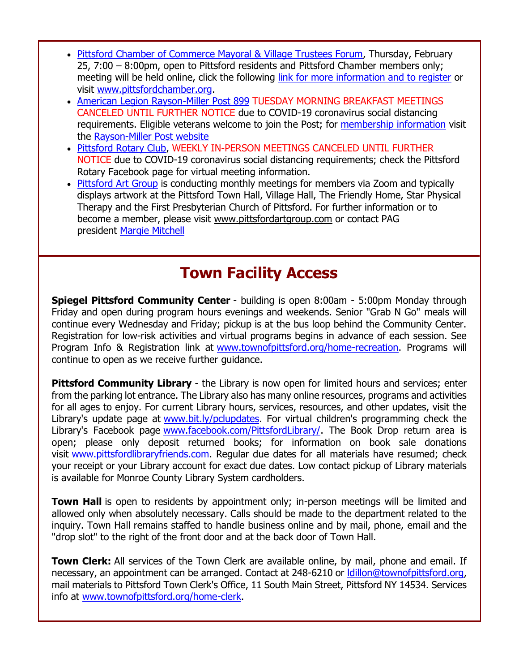- [Pittsford Chamber of Commerce Mayoral & Village Trustees Forum,](http://events.r20.constantcontact.com/register/event?oeidk=a07ehkv3dywdd5ddac0&llr=4hobslrab) Thursday, February 25, 7:00 – 8:00pm, open to Pittsford residents and Pittsford Chamber members only; meeting will be held online, click the following [link for more information and to register](http://events.r20.constantcontact.com/register/event?oeidk=a07ehkv3dywdd5ddac0&llr=4hobslrab) or visit [www.pittsfordchamber.org.](http://r20.rs6.net/tn.jsp?f=001lVGIF9byArd4vcxwz54095OxrUxlpyEHRv-y2qRtEMmnMJLL5TyVkMVGA5d4ubQDYsECGCnVZlW_fnBvcG9aWqu3hUS7pSoN8mb1sZPtQxDdr2KhA9_4dc_24e6u4--OXmVFhXOcWokbBicUEgdY1vEILwy4ckH3&c=UcjgcD2SceoDB3iURkrnBmYiJoCaQL1zlPM2jVDqidM_5k2TbjojtA==&ch=VL9CAXtACSQDXoZJ_xPpHe-UEgq0YeqyrdQ6-atBAE0L18oQJSgvgg==)
- [American Legion Rayson-Miller Post 899](http://r20.rs6.net/tn.jsp?f=001lVGIF9byArd4vcxwz54095OxrUxlpyEHRv-y2qRtEMmnMJLL5TyVkJHljVuFmdszTscKzp0FBsukoUHb5NXKyy-yhoWgYhoPyGNsB_yhBIlif5CBCJQ91OioeojfHKntbt5N7l4xAjIJQzLvbtvq94-q-v2Cc5f5&c=UcjgcD2SceoDB3iURkrnBmYiJoCaQL1zlPM2jVDqidM_5k2TbjojtA==&ch=VL9CAXtACSQDXoZJ_xPpHe-UEgq0YeqyrdQ6-atBAE0L18oQJSgvgg==) TUESDAY MORNING BREAKFAST MEETINGS CANCELED UNTIL FURTHER NOTICE due to COVID-19 coronavirus social distancing requirements. Eligible veterans welcome to join the Post; for [membership information](http://r20.rs6.net/tn.jsp?f=001lVGIF9byArd4vcxwz54095OxrUxlpyEHRv-y2qRtEMmnMJLL5TyVkJHljVuFmdszZsJ32QuoR1K3wbDUndlRhoPJUckEyAhSZSGHRoSh_Qc5yIF_BWYy_fh9k_aExtNRUhaoo_9TgFngGeOBqkFxKbHmG-CVE9mGkfzSTAFTFpTllnT0UNHYLF2k2x7ci-6t&c=UcjgcD2SceoDB3iURkrnBmYiJoCaQL1zlPM2jVDqidM_5k2TbjojtA==&ch=VL9CAXtACSQDXoZJ_xPpHe-UEgq0YeqyrdQ6-atBAE0L18oQJSgvgg==) visit the [Rayson-Miller Post website](http://r20.rs6.net/tn.jsp?f=001lVGIF9byArd4vcxwz54095OxrUxlpyEHRv-y2qRtEMmnMJLL5TyVkDFaUaKNNGhHvkY1CRjbPpa6EWIN9E4bxO88Az3rz7L93T_eSeOoFA8XxHSU_cyj9ziCveJ53YI_nxA4E0JfHHZ4hE1m3nYJIVhU3trwfYRPth0ZfqBtf-KbA7Iiic3NWDIyZPXWfv7EMOCq6sAGLhF_p6_cG5--KxqxtudpA_Zjj-fFeVMqKRd5khoragCNKxaz-1URak4W&c=UcjgcD2SceoDB3iURkrnBmYiJoCaQL1zlPM2jVDqidM_5k2TbjojtA==&ch=VL9CAXtACSQDXoZJ_xPpHe-UEgq0YeqyrdQ6-atBAE0L18oQJSgvgg==)
- [Pittsford Rotary Club,](http://r20.rs6.net/tn.jsp?f=001lVGIF9byArd4vcxwz54095OxrUxlpyEHRv-y2qRtEMmnMJLL5TyVkC4RIbwSAeJlLsLJ82tyhciUrimeFgoKFYtsBhHs2be2MOth9GF4BUS-A_XW6m7vk7UnoXUHuCZDZP7VEzHa4VZEno2BCIZaUW0C7cdjQlNu&c=UcjgcD2SceoDB3iURkrnBmYiJoCaQL1zlPM2jVDqidM_5k2TbjojtA==&ch=VL9CAXtACSQDXoZJ_xPpHe-UEgq0YeqyrdQ6-atBAE0L18oQJSgvgg==) WEEKLY IN-PERSON MEETINGS CANCELED UNTIL FURTHER NOTICE due to COVID-19 coronavirus social distancing requirements; check the Pittsford Rotary Facebook page for virtual meeting information.
- Pittsford [Art Group](http://r20.rs6.net/tn.jsp?f=001lVGIF9byArd4vcxwz54095OxrUxlpyEHRv-y2qRtEMmnMJLL5TyVkPPZETiEuqX5kYNR1n51hU4jgNwljPyAW63D-egzi3ZL3XPVNmbxb_AMFt3KccTww27bXOHYbCoQL1ZHSvAj3ugPI7dFoKZzIhN9IUHPBBhaOFFHOH3pb1w=&c=UcjgcD2SceoDB3iURkrnBmYiJoCaQL1zlPM2jVDqidM_5k2TbjojtA==&ch=VL9CAXtACSQDXoZJ_xPpHe-UEgq0YeqyrdQ6-atBAE0L18oQJSgvgg==) is conducting monthly meetings for members via Zoom and typically displays artwork at the Pittsford Town Hall, Village Hall, The Friendly Home, Star Physical Therapy and the First Presbyterian Church of Pittsford. For further information or to become a member, please visit [www.pittsfordartgroup.com](http://r20.rs6.net/tn.jsp?f=001lVGIF9byArd4vcxwz54095OxrUxlpyEHRv-y2qRtEMmnMJLL5TyVkCPtRLwzCTJi8Cp6I7MmTf-hR-ZFx85NwL-U8zQktWxlpPEl-MVR3o5OJiChZ6BQaE3A8P-UjXaHca3OgdHoD472mkTGOh4d1bpJi-m5hdOy&c=UcjgcD2SceoDB3iURkrnBmYiJoCaQL1zlPM2jVDqidM_5k2TbjojtA==&ch=VL9CAXtACSQDXoZJ_xPpHe-UEgq0YeqyrdQ6-atBAE0L18oQJSgvgg==) or contact PAG president [Margie Mitchell](mailto:mhsmitchell@gmail.com?subject=Pittsford%20Art%20Group%20Meetings%20and%20Membership)

## **Town Facility Access**

**Spiegel Pittsford Community Center** - building is open 8:00am - 5:00pm Monday through Friday and open during program hours evenings and weekends. Senior "Grab N Go" meals will continue every Wednesday and Friday; pickup is at the bus loop behind the Community Center. Registration for low-risk activities and virtual programs begins in advance of each session. See Program Info & Registration link at [www.townofpittsford.org/home-recreation.](http://r20.rs6.net/tn.jsp?f=001lVGIF9byArd4vcxwz54095OxrUxlpyEHRv-y2qRtEMmnMJLL5TyVkOm6evWJZZUv2KLGfS_iqP2e0QGW48oIAvSR8L4L80Ysszf-Z_FH5VEGHeT8OK1nrzgKkxfS7--5FsCPRsM2d_XO8BlbtuPlHiX0vAVpD7uokQvoxPByiabuMteKhghzSw==&c=UcjgcD2SceoDB3iURkrnBmYiJoCaQL1zlPM2jVDqidM_5k2TbjojtA==&ch=VL9CAXtACSQDXoZJ_xPpHe-UEgq0YeqyrdQ6-atBAE0L18oQJSgvgg==) Programs will continue to open as we receive further guidance.

**Pittsford Community Library** - the Library is now open for limited hours and services; enter from the parking lot entrance. The Library also has many online resources, programs and activities for all ages to enjoy. For current Library hours, services, resources, and other updates, visit the Library's update page at [www.bit.ly/pclupdates.](http://r20.rs6.net/tn.jsp?f=001lVGIF9byArd4vcxwz54095OxrUxlpyEHRv-y2qRtEMmnMJLL5TyVkMwPUQNTltxm8ouAWw51iPwV4eis2pmJIqpWV5MIh3_I7rJ3Gpv5lGzw7_TydUFo569R6wD1QOopvGITBhzadIzDJSiMtLxsSw==&c=UcjgcD2SceoDB3iURkrnBmYiJoCaQL1zlPM2jVDqidM_5k2TbjojtA==&ch=VL9CAXtACSQDXoZJ_xPpHe-UEgq0YeqyrdQ6-atBAE0L18oQJSgvgg==) For virtual children's programming check the Library's Facebook page [www.facebook.com/PittsfordLibrary/.](http://r20.rs6.net/tn.jsp?f=001lVGIF9byArd4vcxwz54095OxrUxlpyEHRv-y2qRtEMmnMJLL5TyVkC8ai5Su-iTDpP6Nt1fCrKUD9GuJEUrDROWmTLo6f9lCo8WRBKF5-mT00sJtRtmGEsJ_6YsiOi-9DbbR4mTJpq-Jjwi65Qc6b0y-Myzz-Zr7v0U_tAcnKgg=&c=UcjgcD2SceoDB3iURkrnBmYiJoCaQL1zlPM2jVDqidM_5k2TbjojtA==&ch=VL9CAXtACSQDXoZJ_xPpHe-UEgq0YeqyrdQ6-atBAE0L18oQJSgvgg==) The Book Drop return area is open; please only deposit returned books; for information on book sale donations visit [www.pittsfordlibraryfriends.com.](http://r20.rs6.net/tn.jsp?f=001lVGIF9byArd4vcxwz54095OxrUxlpyEHRv-y2qRtEMmnMJLL5TyVkOh-YPLxdXtbGPdzSlmq0y6hH6p1bwlt-1BSUdDzU29iZsUKWF9Gmf4cqxEGUij_iCFayGXy2cNAkDTrtgq7UbcdNdQsdqWxL-oX4dh2Rg9BInOUJ9oHhRY=&c=UcjgcD2SceoDB3iURkrnBmYiJoCaQL1zlPM2jVDqidM_5k2TbjojtA==&ch=VL9CAXtACSQDXoZJ_xPpHe-UEgq0YeqyrdQ6-atBAE0L18oQJSgvgg==) Regular due dates for all materials have resumed; check your receipt or your Library account for exact due dates. Low contact pickup of Library materials is available for Monroe County Library System cardholders.

**Town Hall** is open to residents by appointment only; in-person meetings will be limited and allowed only when absolutely necessary. Calls should be made to the department related to the inquiry. Town Hall remains staffed to handle business online and by mail, phone, email and the "drop slot" to the right of the front door and at the back door of Town Hall.

**Town Clerk:** All services of the Town Clerk are available online, by mail, phone and email. If necessary, an appointment can be arranged. Contact at 248-6210 or Idillon@townofpittsford.org, mail materials to Pittsford Town Clerk's Office, 11 South Main Street, Pittsford NY 14534. Services info at [www.townofpittsford.org/home-clerk.](http://r20.rs6.net/tn.jsp?f=001lVGIF9byArd4vcxwz54095OxrUxlpyEHRv-y2qRtEMmnMJLL5TyVkB4N2ulpwygrtKU4zfbM6OtYs9JoiRby8R9nJsnhpypHZc_zS5eNaYNoYeODN9qKb6ki2o0W9WFMVXp-z8j6uPjZZg4XKN3lbvt9eIKCV4WDGMzKqZEw7zo=&c=UcjgcD2SceoDB3iURkrnBmYiJoCaQL1zlPM2jVDqidM_5k2TbjojtA==&ch=VL9CAXtACSQDXoZJ_xPpHe-UEgq0YeqyrdQ6-atBAE0L18oQJSgvgg==)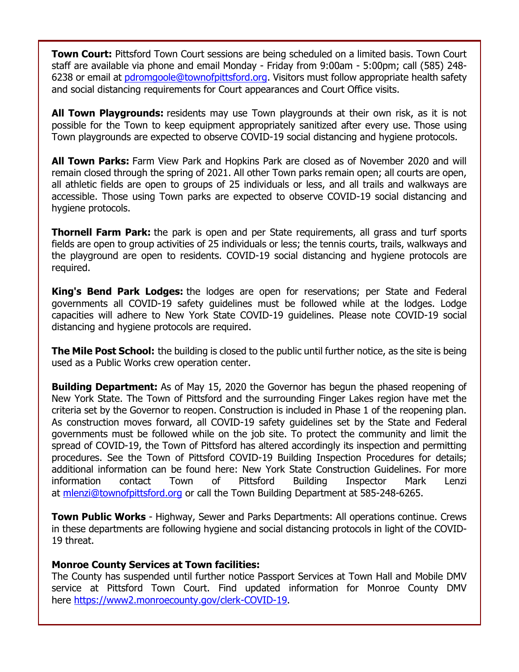**Town Court:** Pittsford Town Court sessions are being scheduled on a limited basis. Town Court staff are available via phone and email Monday - Friday from 9:00am - 5:00pm; call (585) 248- 6238 or email at [pdromgoole@townofpittsford.org.](mailto:pdromgoole@townofpittsford.org) Visitors must follow appropriate health safety and social distancing requirements for Court appearances and Court Office visits.

**All Town Playgrounds:** residents may use Town playgrounds at their own risk, as it is not possible for the Town to keep equipment appropriately sanitized after every use. Those using Town playgrounds are expected to observe COVID-19 social distancing and hygiene protocols.

**All Town Parks:** Farm View Park and Hopkins Park are closed as of November 2020 and will remain closed through the spring of 2021. All other Town parks remain open; all courts are open, all athletic fields are open to groups of 25 individuals or less, and all trails and walkways are accessible. Those using Town parks are expected to observe COVID-19 social distancing and hygiene protocols.

**Thornell Farm Park:** the park is open and per State requirements, all grass and turf sports fields are open to group activities of 25 individuals or less; the tennis courts, trails, walkways and the playground are open to residents. COVID-19 social distancing and hygiene protocols are required.

**King's Bend Park Lodges:** the lodges are open for reservations; per State and Federal governments all COVID-19 safety guidelines must be followed while at the lodges. Lodge capacities will adhere to New York State COVID-19 guidelines. Please note COVID-19 social distancing and hygiene protocols are required.

**The Mile Post School:** the building is closed to the public until further notice, as the site is being used as a Public Works crew operation center.

**Building Department:** As of May 15, 2020 the Governor has begun the phased reopening of New York State. The Town of Pittsford and the surrounding Finger Lakes region have met the criteria set by the Governor to reopen. Construction is included in Phase 1 of the reopening plan. As construction moves forward, all COVID-19 safety guidelines set by the State and Federal governments must be followed while on the job site. To protect the community and limit the spread of COVID-19, the Town of Pittsford has altered accordingly its inspection and permitting procedures. See the Town of Pittsford COVID-19 Building Inspection Procedures for details; additional information can be found here: New York State Construction Guidelines. For more information contact Town of Pittsford Building Inspector Mark Lenzi at [mlenzi@townofpittsford.org](mailto:mlenzi@townofpittsford.org?subject=COVID-19%20Construciton%20Information) or call the Town Building Department at 585-248-6265.

**Town Public Works** - Highway, Sewer and Parks Departments: All operations continue. Crews in these departments are following hygiene and social distancing protocols in light of the COVID-19 threat.

#### **Monroe County Services at Town facilities:**

The County has suspended until further notice Passport Services at Town Hall and Mobile DMV service at Pittsford Town Court. Find updated information for Monroe County DMV here [https://www2.monroecounty.gov/clerk-COVID-19.](http://r20.rs6.net/tn.jsp?f=001lVGIF9byArd4vcxwz54095OxrUxlpyEHRv-y2qRtEMmnMJLL5TyVkGJe-3wB97_q_Q9t9nfZMMKNfZ3fnyf197FjPw4cO1y-0OSWR8ZS1gvsXFQ4h34-bwKxwJrjDStrwPq8eWEgO1_QNZF3dm1FifOuTEHyKhQThbaYbeTw9AU=&c=UcjgcD2SceoDB3iURkrnBmYiJoCaQL1zlPM2jVDqidM_5k2TbjojtA==&ch=VL9CAXtACSQDXoZJ_xPpHe-UEgq0YeqyrdQ6-atBAE0L18oQJSgvgg==)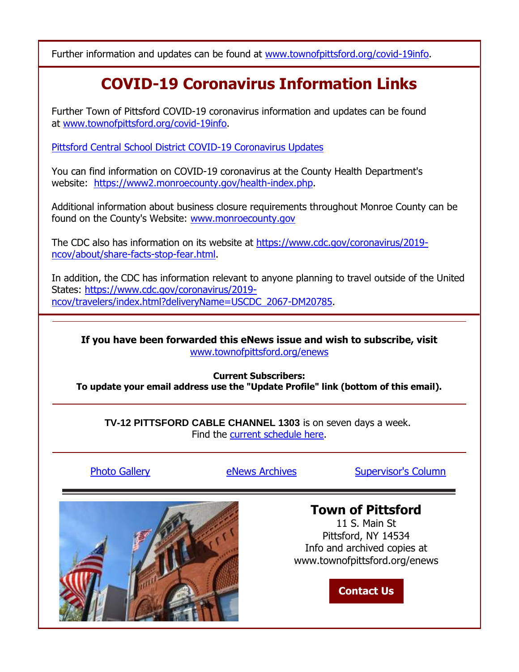Further information and updates can be found at [www.townofpittsford.org/covid-19info.](http://r20.rs6.net/tn.jsp?f=001lVGIF9byArd4vcxwz54095OxrUxlpyEHRv-y2qRtEMmnMJLL5TyVkIg0Lkee1WrcP-XNXY00Ez0_25TfDsuF3O_Nn39IHwqBUsD936K6sWt-XHrWBYDk7cYvEwIWkXoWRyU75qsTlRyL_ED02Uqh8dL07Mnwz4iLieQ6mV1lhTA=&c=UcjgcD2SceoDB3iURkrnBmYiJoCaQL1zlPM2jVDqidM_5k2TbjojtA==&ch=VL9CAXtACSQDXoZJ_xPpHe-UEgq0YeqyrdQ6-atBAE0L18oQJSgvgg==)

## **COVID-19 Coronavirus Information Links**

Further Town of Pittsford COVID-19 coronavirus information and updates can be found at [www.townofpittsford.org/covid-19info.](http://r20.rs6.net/tn.jsp?f=001lVGIF9byArd4vcxwz54095OxrUxlpyEHRv-y2qRtEMmnMJLL5TyVkIg0Lkee1WrcP-XNXY00Ez0_25TfDsuF3O_Nn39IHwqBUsD936K6sWt-XHrWBYDk7cYvEwIWkXoWRyU75qsTlRyL_ED02Uqh8dL07Mnwz4iLieQ6mV1lhTA=&c=UcjgcD2SceoDB3iURkrnBmYiJoCaQL1zlPM2jVDqidM_5k2TbjojtA==&ch=VL9CAXtACSQDXoZJ_xPpHe-UEgq0YeqyrdQ6-atBAE0L18oQJSgvgg==)

[Pittsford Central School District COVID-19 Coronavirus Updates](http://r20.rs6.net/tn.jsp?f=001lVGIF9byArd4vcxwz54095OxrUxlpyEHRv-y2qRtEMmnMJLL5TyVkC8ai5Su-iTDH1-WQOzSLYk0RZOonNek9Elh3ddMYH048yTT39NjkqnCZIidYsa5VQ6LwFwMYS-WzIFZoGV6xl-6LWxeOzIshfi272dPnA5xQgnNc2GGGH4ywMd4Kmy2wA==&c=UcjgcD2SceoDB3iURkrnBmYiJoCaQL1zlPM2jVDqidM_5k2TbjojtA==&ch=VL9CAXtACSQDXoZJ_xPpHe-UEgq0YeqyrdQ6-atBAE0L18oQJSgvgg==)

You can find information on COVID-19 coronavirus at the County Health Department's website: [https://www2.monroecounty.gov/health-index.php.](http://r20.rs6.net/tn.jsp?f=001lVGIF9byArd4vcxwz54095OxrUxlpyEHRv-y2qRtEMmnMJLL5TyVkGhy4tfzfMyOw5VCFtCdrzwdrb_DKE7P5g9T91yjmyuPvtGv4lRHWXprWwt2u0j5v6kNJDy98icHGWWgmd7bJlGnZ7-FIvpMWLdNxxjlpF1d4yO0Wu_z4mipulVj98kmpw==&c=UcjgcD2SceoDB3iURkrnBmYiJoCaQL1zlPM2jVDqidM_5k2TbjojtA==&ch=VL9CAXtACSQDXoZJ_xPpHe-UEgq0YeqyrdQ6-atBAE0L18oQJSgvgg==)

Additional information about business closure requirements throughout Monroe County can be found on the County's Website: [www.monroecounty.gov](http://r20.rs6.net/tn.jsp?f=001lVGIF9byArd4vcxwz54095OxrUxlpyEHRv-y2qRtEMmnMJLL5TyVkOllZAuVY2S4vzD9grLLOHNZsYMDfKJgPKLgOsXrRaB7ogVX2GsrRKpDqZtqfjpXl-wg-GsxnRq5_--culQSpbxS-luMr60TlQ==&c=UcjgcD2SceoDB3iURkrnBmYiJoCaQL1zlPM2jVDqidM_5k2TbjojtA==&ch=VL9CAXtACSQDXoZJ_xPpHe-UEgq0YeqyrdQ6-atBAE0L18oQJSgvgg==)

The CDC also has information on its website at [https://www.cdc.gov/coronavirus/2019](http://r20.rs6.net/tn.jsp?f=001lVGIF9byArd4vcxwz54095OxrUxlpyEHRv-y2qRtEMmnMJLL5TyVkGhy4tfzfMyOuGo3DbxvuLTxNwGHHtxTrTgBwHTURE776tcXY99Q3xvIzxacA-7ZErQxg_l2v-5zb2hxTxajZWSr5Qt_o_zviDPH-wkNYD4A9gxy752iKJhQ4PMi9A0__IBbGx-Q8rb6rJKccdIUdmWXEbe0FY7iD3A-WiCAcoyg&c=UcjgcD2SceoDB3iURkrnBmYiJoCaQL1zlPM2jVDqidM_5k2TbjojtA==&ch=VL9CAXtACSQDXoZJ_xPpHe-UEgq0YeqyrdQ6-atBAE0L18oQJSgvgg==) [ncov/about/share-facts-stop-fear.html.](http://r20.rs6.net/tn.jsp?f=001lVGIF9byArd4vcxwz54095OxrUxlpyEHRv-y2qRtEMmnMJLL5TyVkGhy4tfzfMyOuGo3DbxvuLTxNwGHHtxTrTgBwHTURE776tcXY99Q3xvIzxacA-7ZErQxg_l2v-5zb2hxTxajZWSr5Qt_o_zviDPH-wkNYD4A9gxy752iKJhQ4PMi9A0__IBbGx-Q8rb6rJKccdIUdmWXEbe0FY7iD3A-WiCAcoyg&c=UcjgcD2SceoDB3iURkrnBmYiJoCaQL1zlPM2jVDqidM_5k2TbjojtA==&ch=VL9CAXtACSQDXoZJ_xPpHe-UEgq0YeqyrdQ6-atBAE0L18oQJSgvgg==)

In addition, the CDC has information relevant to anyone planning to travel outside of the United States: [https://www.cdc.gov/coronavirus/2019](http://r20.rs6.net/tn.jsp?f=001lVGIF9byArd4vcxwz54095OxrUxlpyEHRv-y2qRtEMmnMJLL5TyVkGhy4tfzfMyOmHQbyR4CwO12rQ8N8im9G9mZZfyNKBiwByXrkaeab8VAp_lVgDUa7lP5B708evPEUMRvRUepM-BfxPhW8Lac46SnmvyGNL7-e2BGSb-UzPELUGxdOCPeOvgiSPHgW9-jjkbEXY_H9OZRmOgOHY6fMu9i6BYbJi2bt_rr-vqj8kph2P-r5S7QZzk8zicxA3VL&c=UcjgcD2SceoDB3iURkrnBmYiJoCaQL1zlPM2jVDqidM_5k2TbjojtA==&ch=VL9CAXtACSQDXoZJ_xPpHe-UEgq0YeqyrdQ6-atBAE0L18oQJSgvgg==) [ncov/travelers/index.html?deliveryName=USCDC\\_2067-DM20785.](http://r20.rs6.net/tn.jsp?f=001lVGIF9byArd4vcxwz54095OxrUxlpyEHRv-y2qRtEMmnMJLL5TyVkGhy4tfzfMyOmHQbyR4CwO12rQ8N8im9G9mZZfyNKBiwByXrkaeab8VAp_lVgDUa7lP5B708evPEUMRvRUepM-BfxPhW8Lac46SnmvyGNL7-e2BGSb-UzPELUGxdOCPeOvgiSPHgW9-jjkbEXY_H9OZRmOgOHY6fMu9i6BYbJi2bt_rr-vqj8kph2P-r5S7QZzk8zicxA3VL&c=UcjgcD2SceoDB3iURkrnBmYiJoCaQL1zlPM2jVDqidM_5k2TbjojtA==&ch=VL9CAXtACSQDXoZJ_xPpHe-UEgq0YeqyrdQ6-atBAE0L18oQJSgvgg==)

**If you have been forwarded this eNews issue and wish to subscribe, visit** [www.townofpittsford.org/enews](http://r20.rs6.net/tn.jsp?f=001lVGIF9byArd4vcxwz54095OxrUxlpyEHRv-y2qRtEMmnMJLL5TyVkAhFrnJu9C7Blzcr30Gi8zQYOaTBmUs_uX2-K210PGhrIotKV5lFH-xdgZnj6U2_v8zt1ee23fkmT05WhXZQWzsgvOG7A2ukXB4kZ3SZI-H2&c=UcjgcD2SceoDB3iURkrnBmYiJoCaQL1zlPM2jVDqidM_5k2TbjojtA==&ch=VL9CAXtACSQDXoZJ_xPpHe-UEgq0YeqyrdQ6-atBAE0L18oQJSgvgg==)

#### **Current Subscribers: To update your email address use the "Update Profile" link (bottom of this email).**

**TV-12 PITTSFORD CABLE CHANNEL 1303** is on seven days a week. Find the [current schedule here.](http://r20.rs6.net/tn.jsp?f=001lVGIF9byArd4vcxwz54095OxrUxlpyEHRv-y2qRtEMmnMJLL5TyVkO1-37PQWsN_bMaFdxtBKdT1wEDkHZIMuuglkMxjGsOklb1eUfvDAHZISirIi-ZQHDgzYC5CSKC7Fe8FQ75fVVyYUsfJXsPLOIeUrjF7w2bgSMf6w4kM1hk=&c=UcjgcD2SceoDB3iURkrnBmYiJoCaQL1zlPM2jVDqidM_5k2TbjojtA==&ch=VL9CAXtACSQDXoZJ_xPpHe-UEgq0YeqyrdQ6-atBAE0L18oQJSgvgg==)

[Photo Gallery](http://r20.rs6.net/tn.jsp?f=001lVGIF9byArd4vcxwz54095OxrUxlpyEHRv-y2qRtEMmnMJLL5TyVkC4RIbwSAeJlrcAVKR5eRe21bRQBUVqcRcrV094_iDrh6SH4q5c4HOIWE_oS-lKHgLLoGM9gVqk2m9SS-LzskTEOMruM2aIxpTnJpDhnnHtTbcjajndYW1mjpqfwt9B-bVzjxe_0-9Gx9-NwBTmvV3FWLl6yksD_l3C9m5cU8HErcQIEM7qO1J6b_FIpSiELVWbEo2RO5rSELvdwyMjTgySSFdLzP9J9cSAdLFnm80uZ&c=UcjgcD2SceoDB3iURkrnBmYiJoCaQL1zlPM2jVDqidM_5k2TbjojtA==&ch=VL9CAXtACSQDXoZJ_xPpHe-UEgq0YeqyrdQ6-atBAE0L18oQJSgvgg==) **Example 20 Exercise [Supervisor's Column](http://r20.rs6.net/tn.jsp?f=001lVGIF9byArd4vcxwz54095OxrUxlpyEHRv-y2qRtEMmnMJLL5TyVkC4RIbwSAeJl82qmu40rLJROqX9enegsV0bObrdgp_OQiN2BuCE2z6nW_9O8IhLEXGaGLBk61iTIqyByuzVHrOyHdIoj2hbEy4HMVLxXsdTxduXVNLThDqxVxnxnSw1Mtk4LGliFZLuwG18QbW2XBK8zvrgrxcYB_qstp64SPGgEEG4PuIGhQeZu5Um5G4eigfMy9lDi1pl83yPKDqg5P6FWf2cTlxxQPNt4krPhM6ekZht_Kau0rqM=&c=UcjgcD2SceoDB3iURkrnBmYiJoCaQL1zlPM2jVDqidM_5k2TbjojtA==&ch=VL9CAXtACSQDXoZJ_xPpHe-UEgq0YeqyrdQ6-atBAE0L18oQJSgvgg==)** 



### **[Town of Pittsford](http://r20.rs6.net/tn.jsp?f=001lVGIF9byArd4vcxwz54095OxrUxlpyEHRv-y2qRtEMmnMJLL5TyVkPPZETiEuqX5hJeKJHNEgz2RuVbYFxnuAk0-dvYZj-Z1kXM4pMbIRItVHruQ5Qov4r754-Uxaz9fmZhv6MVUXPHq4xngmYcupQ==&c=UcjgcD2SceoDB3iURkrnBmYiJoCaQL1zlPM2jVDqidM_5k2TbjojtA==&ch=VL9CAXtACSQDXoZJ_xPpHe-UEgq0YeqyrdQ6-atBAE0L18oQJSgvgg==)**

11 S. Main St Pittsford, NY 14534 Info and archived copies at www.townofpittsford.org/enews

**[Contact Us](http://r20.rs6.net/tn.jsp?f=001lVGIF9byArd4vcxwz54095OxrUxlpyEHRv-y2qRtEMmnMJLL5TyVkPPZETiEuqX50ccTonVOe2SZwhEwIJDrQepkTokAoS2VwKS83o2yZjvcXODHU2zVQ1R3ZMdPS6TeQVHuc3FaF_SJKLa12bNPCr2LCG8aQR5QpbGeL00PyHQ=&c=UcjgcD2SceoDB3iURkrnBmYiJoCaQL1zlPM2jVDqidM_5k2TbjojtA==&ch=VL9CAXtACSQDXoZJ_xPpHe-UEgq0YeqyrdQ6-atBAE0L18oQJSgvgg==)**